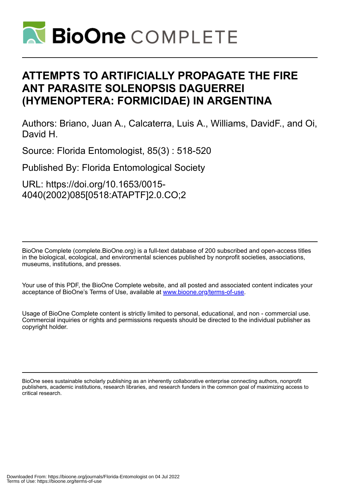

## **ATTEMPTS TO ARTIFICIALLY PROPAGATE THE FIRE ANT PARASITE SOLENOPSIS DAGUERREI (HYMENOPTERA: FORMICIDAE) IN ARGENTINA**

Authors: Briano, Juan A., Calcaterra, Luis A., Williams, DavidF., and Oi, David H.

Source: Florida Entomologist, 85(3) : 518-520

Published By: Florida Entomological Society

URL: https://doi.org/10.1653/0015- 4040(2002)085[0518:ATAPTF]2.0.CO;2

BioOne Complete (complete.BioOne.org) is a full-text database of 200 subscribed and open-access titles in the biological, ecological, and environmental sciences published by nonprofit societies, associations, museums, institutions, and presses.

Your use of this PDF, the BioOne Complete website, and all posted and associated content indicates your acceptance of BioOne's Terms of Use, available at www.bioone.org/terms-of-use.

Usage of BioOne Complete content is strictly limited to personal, educational, and non - commercial use. Commercial inquiries or rights and permissions requests should be directed to the individual publisher as copyright holder.

BioOne sees sustainable scholarly publishing as an inherently collaborative enterprise connecting authors, nonprofit publishers, academic institutions, research libraries, and research funders in the common goal of maximizing access to critical research.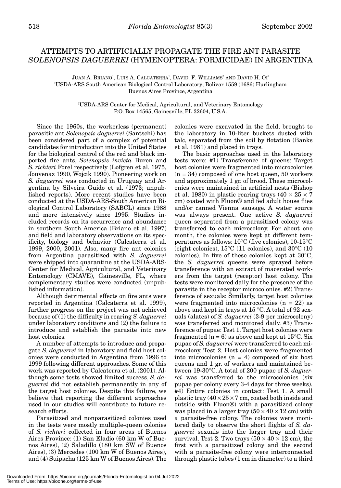## ATTEMPTS TO ARTIFICIALLY PROPAGATE THE FIRE ANT PARASITE *SOLENOPSIS DAGUERREI* (HYMENOPTERA: FORMICIDAE) IN ARGENTINA

JUAN A. BRIANO<sup>1</sup>, LUIS A. CALCATERRA<sup>1</sup>, DAVID. F. WILLIAMS<sup>2</sup> AND DAVID H. OI<sup>2</sup> 1 USDA-ARS South American Biological Control Laboratory, Bolivar 1559 (1686) Hurlingham Buenos Aires Province, Argentina

> 2 USDA-ARS Center for Medical, Agricultural, and Veterinary Entomology P.O. Box 14565, Gainesville, FL 32604, U.S.A.

Since the 1960s, the workerless (permanent) parasitic ant *Solenopsis daguerrei* (Santschi) has been considered part of a complex of potential candidates for introduction into the United States for the biological control of the red and black imported fire ants, *Solenopsis invicta* Buren and *S. richteri* Forel respectively (Lofgren et al. 1975, Jouvenaz 1990, Wojcik 1990). Pioneering work on *S. daguerrei* was conducted in Uruguay and Argentina by Silveira Guido et al. (1973; unpublished reports). More recent studies have been conducted at the USDA-ARS-South American Biological Control Laboratory (SABCL) since 1988 and more intensively since 1995. Studies included records on its occurrence and abundance in southern South America (Briano et al. 1997) and field and laboratory observations on its specificity, biology and behavior (Calcaterra et al. 1999, 2000, 2001). Also, many fire ant colonies from Argentina parasitized with *S. daguerrei* were shipped into quarantine at the USDA-ARS-Center for Medical, Agricultural, and Veterinary Entomology (CMAVE), Gainesville, FL, where complementary studies were conducted (unpublished information).

Although detrimental effects on fire ants were reported in Argentina (Calcaterra et al. 1999), further progress on the project was not achieved because of (1) the difficulty in rearing *S. daguerrei* under laboratory conditions and (2) the failure to introduce and establish the parasite into new host colonies.

A number of attempts to introduce and propagate *S. daguerrei* in laboratory and field host colonies were conducted in Argentina from 1996 to 1999 following different approaches. Some of this work was reported by Calcaterra et al. (2001). Although some tests showed limited success, *S. daguerrei* did not establish permanently in any of the target host colonies. Despite this failure, we believe that reporting the different approaches used in our studies will contribute to future research efforts.

Parasitized and nonparasitized colonies used in the tests were mostly multiple-queen colonies of *S. richteri* collected in four areas of Buenos Aires Province: (1) San Eladio (60 km W of Buenos Aires), (2) Saladillo (180 km SW of Buenos Aires), (3) Mercedes (100 km W of Buenos Aires), and (4) Suipacha (125 km W of Buenos Aires). The

colonies were excavated in the field, brought to the laboratory in 10-liter buckets dusted with talc, separated from the soil by flotation (Banks et al. 1981) and placed in trays.

The basic approaches used in the laboratory tests were: #1) Transference of queens: Target host colonies were fragmented into microcolonies  $(n = 34)$  composed of one host queen, 50 workers and approximately 1 gr. of brood. These microcolonies were maintained in artificial nests (Bishop et al. 1980) in plastic rearing trays  $(40 \times 25 \times 7)$ cm) coated with Fluon® and fed adult house flies and/or canned Vienna sausage. A water source was always present. One active *S. daguerrei* queen separated from a parasitized colony was transferred to each microcolony. For about one month, the colonies were kept at different temperatures as follows: 10°C (five colonies), 10-15°C (eight colonies), 15°C (11 colonies), and 30°C (10 colonies). In five of these colonies kept at 30°C, the *S. daguerrei* queens were sprayed before transference with an extract of macerated workers from the target (receptor) host colony. The tests were monitored daily for the presence of the parasite in the receptor microcolonies. #2) Transference of sexuals: Similarly, target host colonies were fragmented into microcolonies  $(n = 22)$  as above and kept in trays at 15 °C. A total of 92 sexuals (alates) of *S. daguerrei* (3-9 per microcolony) was transferred and monitored daily. #3) Transference of pupae: Test 1. Target host colonies were fragmented ( $n = 6$ ) as above and kept at 15<sup>o</sup>C. Six pupae of *S. daguerrei* were transferred to each microcolony. Test 2. Host colonies were fragmented into microcolonies  $(n = 4)$  composed of six host queens and 1 gr. of workers and maintained between 19-30°C. A total of 200 pupae of *S. daguerrei* was transferred to the microcolonies (six pupae per colony every 3-4 days for three weeks). #4) Entire colonies in contact: Test 1. A small plastic tray  $(40 \times 25 \times 7$  cm, coated both inside and outside with Fluon®) with a parasitized colony was placed in a larger tray  $(50 \times 40 \times 12 \text{ cm})$  with a parasite-free colony. The colonies were monitored daily to observe the short flights of *S. daguerrei* sexuals into the larger tray and their survival. Test 2. Two trays  $(50 \times 40 \times 12 \text{ cm})$ , the first with a parasitized colony and the second with a parasite-free colony were interconnected through plastic tubes (1 cm in diameter) to a third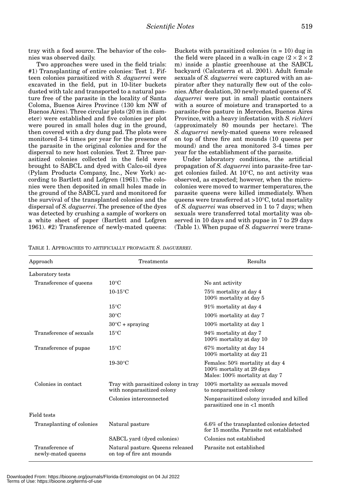tray with a food source. The behavior of the colonies was observed daily.

Two approaches were used in the field trials: #1) Transplanting of entire colonies: Test 1. Fifteen colonies parasitized with *S. daguerrei* were excavated in the field, put in 10-liter buckets dusted with talc and transported to a natural pasture free of the parasite in the locality of Santa Coloma, Buenos Aires Province (130 km NW of Buenos Aires). Three circular plots (20 m in diameter) were established and five colonies per plot were poured in small holes dug in the ground, then covered with a dry dung pad. The plots were monitored 3-4 times per year for the presence of the parasite in the original colonies and for the dispersal to new host colonies. Test 2. Three parasitized colonies collected in the field were brought to SABCL and dyed with Calco-oil dyes (Pylam Products Company, Inc., New York) according to Bartlett and Lofgren (1961). The colonies were then deposited in small holes made in the ground of the SABCL yard and monitored for the survival of the transplanted colonies and the dispersal of *S. daguerrei*. The presence of the dyes was detected by crushing a sample of workers on a white sheet of paper (Bartlett and Lofgren 1961). #2) Transference of newly-mated queens:

Buckets with parasitized colonies  $(n = 10)$  dug in the field were placed in a walk-in cage  $(2 \times 2 \times 2)$ m) inside a plastic greenhouse at the SABCL backyard (Calcaterra et al. 2001). Adult female sexuals of *S. daguerrei* were captured with an aspirator after they naturally flew out of the colonies. After dealation, 30 newly-mated queens of *S. daguerrei* were put in small plastic containers with a source of moisture and transported to a parasite-free pasture in Mercedes, Buenos Aires Province, with a heavy infestation with *S. richteri* (approximately 80 mounds per hectare). The *S. daguerrei* newly-mated queens were released on top of three fire ant mounds (10 queens per mound) and the area monitored 3-4 times per year for the establishment of the parasite.

Under laboratory conditions, the artificial propagation of *S. daguerrei* into parasite-free target colonies failed. At 10°C, no ant activity was observed, as expected; however, when the microcolonies were moved to warmer temperatures, the parasite queens were killed immediately. When queens were transferred at >10°C, total mortality of *S. daguerrei* was observed in 1 to 7 days; when sexuals were transferred total mortality was observed in 10 days and with pupae in 7 to 29 days (Table 1). When pupae of *S. daguerrei* were trans-

TABLE 1. APPROACHES TO ARTIFICIALLY PROPAGATE *S. DAGUERREI*.

| Approach                              | Treatments                                                         | Results                                                                                        |
|---------------------------------------|--------------------------------------------------------------------|------------------------------------------------------------------------------------------------|
| Laboratory tests                      |                                                                    |                                                                                                |
| Transference of queens                | $10^{\circ}$ C                                                     | No ant activity                                                                                |
|                                       | $10-15$ °C                                                         | 75% mortality at day 4<br>100% mortality at day 5                                              |
|                                       | $15^{\circ}$ C                                                     | 91% mortality at day 4                                                                         |
|                                       | $30^{\circ}$ C                                                     | 100% mortality at day 7                                                                        |
|                                       | $30^{\circ}$ C + spraying                                          | 100% mortality at day 1                                                                        |
| Transference of sexuals               | $15^{\circ}$ C                                                     | 94% mortality at day 7<br>100% mortality at day 10                                             |
| Transference of pupae                 | $15^{\circ}$ C                                                     | 67% mortality at day 14<br>100% mortality at day 21                                            |
|                                       | $19-30$ °C                                                         | Females: 50% mortality at day 4<br>100% mortality at 29 days<br>Males: 100% mortality at day 7 |
| Colonies in contact                   | Tray with parasitized colony in tray<br>with nonparasitized colony | 100% mortality as sexuals moved<br>to nonparasitized colony                                    |
|                                       | Colonies interconnected                                            | Nonparasitized colony invaded and killed<br>parasitized one in <1 month                        |
| Field tests                           |                                                                    |                                                                                                |
| Transplanting of colonies             | Natural pasture                                                    | 6.6% of the transplanted colonies detected<br>for 15 months. Parasite not established          |
|                                       | SABCL yard (dyed colonies)                                         | Colonies not established                                                                       |
| Transference of<br>newly-mated queens | Natural pasture. Queens released<br>on top of fire ant mounds      | Parasite not established                                                                       |

Downloaded From: https://bioone.org/journals/Florida-Entomologist on 04 Jul 2022 Terms of Use: https://bioone.org/terms-of-use